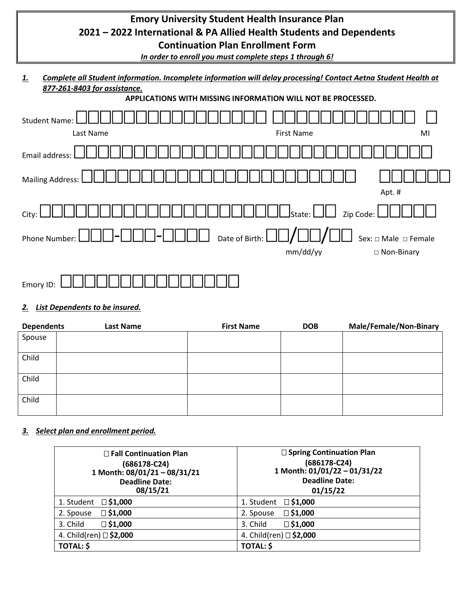# **Emory University Student Health Insurance Plan 2021 – 2022 International & PA Allied Health Students and Dependents Continuation Plan Enrollment Form**

*In order to enroll you must complete steps 1 through 6!*

*1. Complete all Student information. Incomplete information will delay processing! Contact Aetna Student Health at 877-261-8403 for assistance.*





### *2. List Dependents to be insured.*

| <b>Dependents</b> | <b>Last Name</b> | <b>First Name</b> | <b>DOB</b> | Male/Female/Non-Binary |
|-------------------|------------------|-------------------|------------|------------------------|
| Spouse            |                  |                   |            |                        |
|                   |                  |                   |            |                        |
| Child             |                  |                   |            |                        |
|                   |                  |                   |            |                        |
| Child             |                  |                   |            |                        |
|                   |                  |                   |            |                        |
| Child             |                  |                   |            |                        |
|                   |                  |                   |            |                        |

### *3. Select plan and enrollment period.*

| $\Box$ Fall Continuation Plan | $\square$ Spring Continuation Plan |
|-------------------------------|------------------------------------|
| (686178-C24)                  | $(686178-C24)$                     |
| 1 Month: 08/01/21 - 08/31/21  | 1 Month: 01/01/22 - 01/31/22       |
| <b>Deadline Date:</b>         | <b>Deadline Date:</b>              |
| 08/15/21                      | 01/15/22                           |
| $\square$ \$1,000             | $\square$ \$1,000                  |
| 1. Student                    | 1. Student                         |
| $\square$ \$1,000             | $\square$ \$1,000                  |
| 2. Spouse                     | 2. Spouse                          |
| $\Box$ \$1,000                | $\Box$ \$1,000                     |
| 3. Child                      | 3. Child                           |
| 4. Child(ren) □ \$2,000       | 4. Child(ren) □ \$2,000            |
| <b>TOTAL: \$</b>              | <b>TOTAL: \$</b>                   |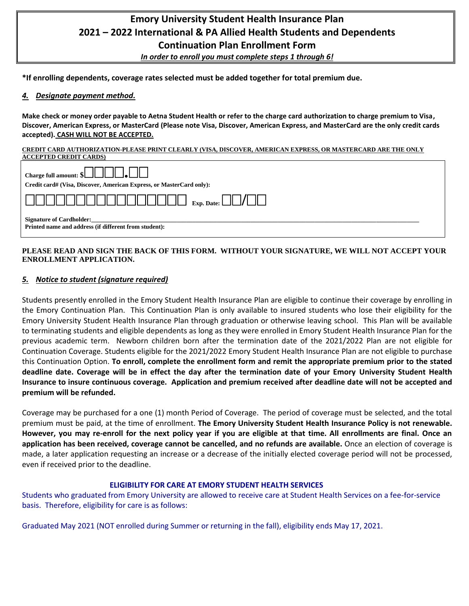# **Emory University Student Health Insurance Plan 2021 – 2022 International & PA Allied Health Students and Dependents Continuation Plan Enrollment Form**

*In order to enroll you must complete steps 1 through 6!*

**\*If enrolling dependents, coverage rates selected must be added together for total premium due.**

#### *4. Designate payment method.*

**Make check or money order payable to Aetna Student Health or refer to the charge card authorization to charge premium to Visa, Discover, American Express, or MasterCard (Please note Visa, Discover, American Express, and MasterCard are the only credit cards accepted). CASH WILL NOT BE ACCEPTED.**

#### **CREDIT CARD AUTHORIZATION-PLEASE PRINT CLEARLY (VISA, DISCOVER, AMERICAN EXPRESS, OR MASTERCARD ARE THE ONLY ACCEPTED CREDIT CARDS)**

| Charge full amount: $\left[\begin{array}{c c} \end{array}\right]$                        |  |  |  |
|------------------------------------------------------------------------------------------|--|--|--|
| Credit card# (Visa, Discover, American Express, or MasterCard only):                     |  |  |  |
|                                                                                          |  |  |  |
| <b>Signature of Cardholder:</b><br>Printed name and address (if different from student): |  |  |  |

#### **PLEASE READ AND SIGN THE BACK OF THIS FORM. WITHOUT YOUR SIGNATURE, WE WILL NOT ACCEPT YOUR ENROLLMENT APPLICATION.**

#### *5. Notice to student (signature required)*

Students presently enrolled in the Emory Student Health Insurance Plan are eligible to continue their coverage by enrolling in the Emory Continuation Plan. This Continuation Plan is only available to insured students who lose their eligibility for the Emory University Student Health Insurance Plan through graduation or otherwise leaving school. This Plan will be available to terminating students and eligible dependents as long as they were enrolled in Emory Student Health Insurance Plan for the previous academic term. Newborn children born after the termination date of the 2021/2022 Plan are not eligible for Continuation Coverage. Students eligible for the 2021/2022 Emory Student Health Insurance Plan are not eligible to purchase this Continuation Option. **To enroll, complete the enrollment form and remit the appropriate premium prior to the stated deadline date. Coverage will be in effect the day after the termination date of your Emory University Student Health Insurance to insure continuous coverage. Application and premium received after deadline date will not be accepted and premium will be refunded.**

Coverage may be purchased for a one (1) month Period of Coverage. The period of coverage must be selected, and the total premium must be paid, at the time of enrollment. **The Emory University Student Health Insurance Policy is not renewable. However, you may re-enroll for the next policy year if you are eligible at that time. All enrollments are final. Once an application has been received, coverage cannot be cancelled, and no refunds are available.** Once an election of coverage is made, a later application requesting an increase or a decrease of the initially elected coverage period will not be processed, even if received prior to the deadline.

#### **ELIGIBILITY FOR CARE AT EMORY STUDENT HEALTH SERVICES**

Students who graduated from Emory University are allowed to receive care at Student Health Services on a fee-for-service basis. Therefore, eligibility for care is as follows:

Graduated May 2021 (NOT enrolled during Summer or returning in the fall), eligibility ends May 17, 2021.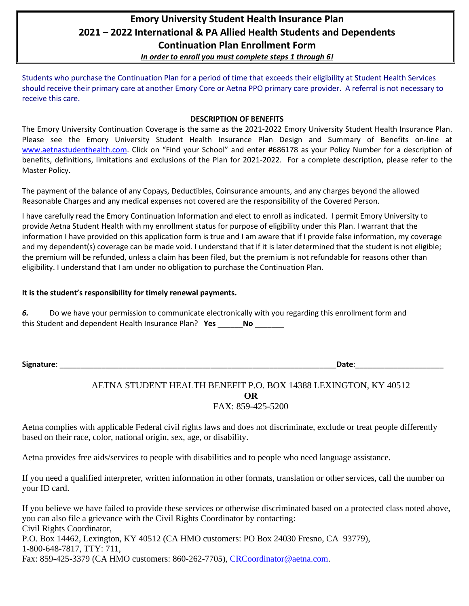## **Emory University Student Health Insurance Plan 2021 – 2022 International & PA Allied Health Students and Dependents Continuation Plan Enrollment Form** *In order to enroll you must complete steps 1 through 6!*

Students who purchase the Continuation Plan for a period of time that exceeds their eligibility at Student Health Services should receive their primary care at another Emory Core or Aetna PPO primary care provider. A referral is not necessary to receive this care.

#### **DESCRIPTION OF BENEFITS**

The Emory University Continuation Coverage is the same as the 2021-2022 Emory University Student Health Insurance Plan. Please see the Emory University Student Health Insurance Plan Design and Summary of Benefits on-line at [www.aetnastudenthealth.com](http://www.aetnastudenthealth.com/). Click on "Find your School" and enter #686178 as your Policy Number for a description of benefits, definitions, limitations and exclusions of the Plan for 2021-2022. For a complete description, please refer to the Master Policy.

The payment of the balance of any Copays, Deductibles, Coinsurance amounts, and any charges beyond the allowed Reasonable Charges and any medical expenses not covered are the responsibility of the Covered Person.

I have carefully read the Emory Continuation Information and elect to enroll as indicated. I permit Emory University to provide Aetna Student Health with my enrollment status for purpose of eligibility under this Plan. I warrant that the information I have provided on this application form is true and I am aware that if I provide false information, my coverage and my dependent(s) coverage can be made void. I understand that if it is later determined that the student is not eligible; the premium will be refunded, unless a claim has been filed, but the premium is not refundable for reasons other than eligibility. I understand that I am under no obligation to purchase the Continuation Plan.

#### **It is the student's responsibility for timely renewal payments.**

*6.* Do we have your permission to communicate electronically with you regarding this enrollment form and this Student and dependent Health Insurance Plan? **Yes** \_\_\_\_\_\_**No** \_\_\_\_\_\_\_

**Signature**: \_\_\_\_\_\_\_\_\_\_\_\_\_\_\_\_\_\_\_\_\_\_\_\_\_\_\_\_\_\_\_\_\_\_\_\_\_\_\_\_\_\_\_\_\_\_\_\_\_\_\_\_\_\_\_\_\_\_\_\_\_\_\_\_\_\_**Date**:\_\_\_\_\_\_\_\_\_\_\_\_\_\_\_\_\_\_\_\_\_

### AETNA STUDENT HEALTH BENEFIT P.O. BOX 14388 LEXINGTON, KY 40512 **OR** FAX: 859-425-5200

Aetna complies with applicable Federal civil rights laws and does not discriminate, exclude or treat people differently based on their race, color, national origin, sex, age, or disability.

Aetna provides free aids/services to people with disabilities and to people who need language assistance.

If you need a qualified interpreter, written information in other formats, translation or other services, call the number on your ID card.

If you believe we have failed to provide these services or otherwise discriminated based on a protected class noted above, you can also file a grievance with the Civil Rights Coordinator by contacting: Civil Rights Coordinator, P.O. Box 14462, Lexington, KY 40512 (CA HMO customers: PO Box 24030 Fresno, CA 93779), 1-800-648-7817, TTY: 711, Fax: 859-425-3379 (CA HMO customers: 860-262-7705), [CRCoordinator@aetna.com.](mailto:CRCoordinator@aetna.com)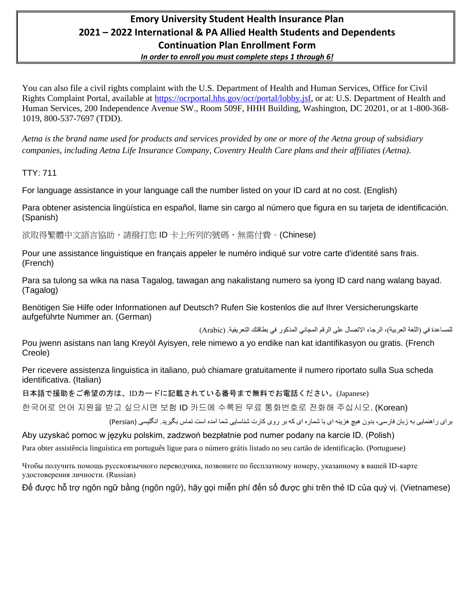### **Emory University Student Health Insurance Plan 2021 – 2022 International & PA Allied Health Students and Dependents Continuation Plan Enrollment Form** *In order to enroll you must complete steps 1 through 6!*

You can also file a civil rights complaint with the U.S. Department of Health and Human Services, Office for Civil Rights Complaint Portal, available at [https://ocrportal.hhs.gov/ocr/portal/lobby.jsf,](https://ocrportal.hhs.gov/ocr/portal/lobby.jsf) or at: U.S. Department of Health and Human Services, 200 Independence Avenue SW., Room 509F, HHH Building, Washington, DC 20201, or at 1-800-368- 1019, 800-537-7697 (TDD).

*Aetna is the brand name used for products and services provided by one or more of the Aetna group of subsidiary companies, including Aetna Life Insurance Company, Coventry Health Care plans and their affiliates (Aetna).*

TTY: 711

For language assistance in your language call the number listed on your ID card at no cost. (English)

Para obtener asistencia lingüística en español, llame sin cargo al número que figura en su tarjeta de identificación. (Spanish)

欲取得繁體中文語言協助,請撥打您 ID 卡上所列的號碼,無需付費。(Chinese)

Pour une assistance linguistique en français appeler le numéro indiqué sur votre carte d'identité sans frais. (French)

Para sa tulong sa wika na nasa Tagalog, tawagan ang nakalistang numero sa iyong ID card nang walang bayad. (Tagalog)

Benötigen Sie Hilfe oder Informationen auf Deutsch? Rufen Sie kostenlos die auf Ihrer Versicherungskarte aufgeführte Nummer an. (German)

للمساعدة في )اللغة العربية(، الرجاء االتصال على الرقم المجاني المذكور في بطاقتك التعريفية. )Arabic)

Pou jwenn asistans nan lang Kreyòl Ayisyen, rele nimewo a yo endike nan kat idantifikasyon ou gratis. (French Creole)

Per ricevere assistenza linguistica in italiano, può chiamare gratuitamente il numero riportato sulla Sua scheda identificativa. (Italian)

日本語で援助をご希望の方は、IDカードに記載されている番号まで無料でお電話ください。(Japanese)

한국어로 언어 지원을 받고 싶으시면 보험 ID 카드에 수록된 무료 통화번호로 전화해 주십시오. (Korean)

برای راهنمايی به زبان فارسی، بدون هيچ هزينه ای با شماره ای که بر روی کارت شناسايی شما آمده است تماس بگيريد. انگليسی )Persian )

Aby uzyskać pomoc w języku polskim, zadzwoń bezpłatnie pod numer podany na karcie ID. (Polish)

Para obter assistência linguística em português ligue para o número grátis listado no seu cartão de identificação. (Portuguese)

Чтобы получить помощь русскоязычного переводчика, позвоните по бесплатному номеру, указанному в вашей ID-карте удостоверения личности. (Russian)

Để được hỗ trợ ngôn ngữ bằng (ngôn ngữ), hãy gọi miễn phí đến số được ghi trên thẻ ID của quý vị. (Vietnamese)